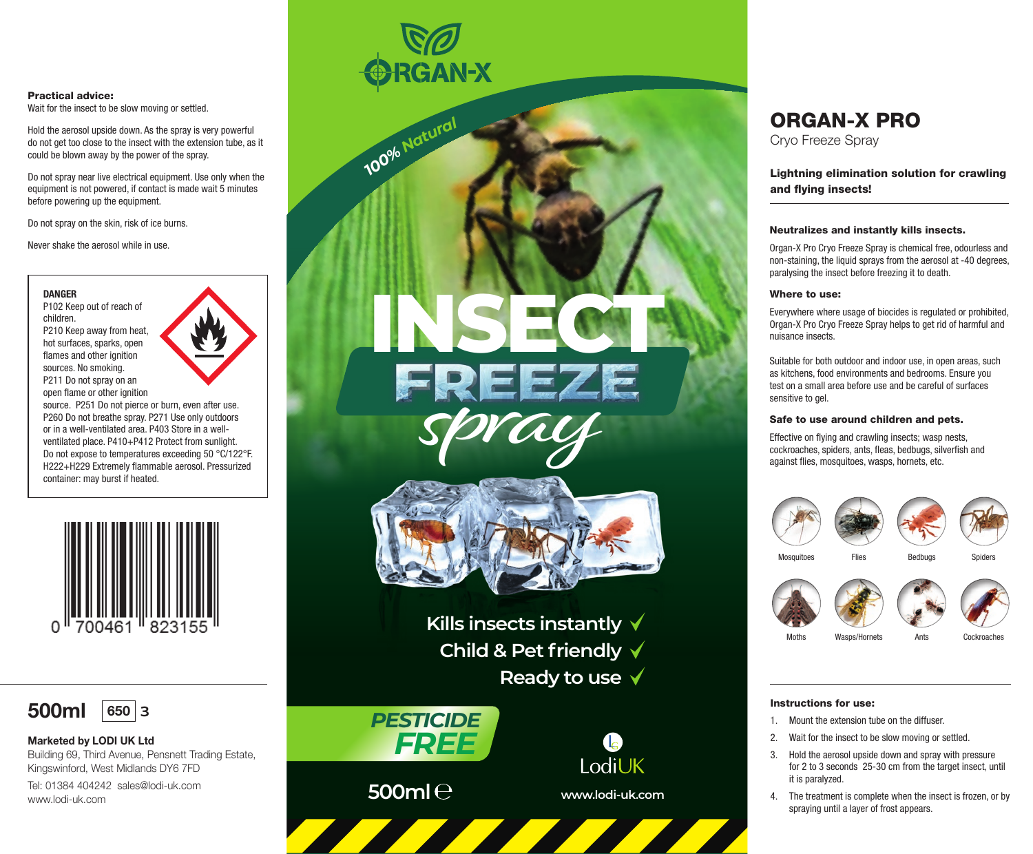#### Practical advice:

Wait for the insect to be slow moving or settled.

Hold the aerosol upside down. As the spray is very powerful do not get too close to the insect with the extension tube, as it could be blown away by the power of the spray.

Do not spray near live electrical equipment. Use only when the equipment is not powered, if contact is made wait 5 minutes before powering up the equipment.

Do not spray on the skin, risk of ice burns.

Never shake the aerosol while in use.

#### **DANGER**

P102 Keep out of reach of children. P210 Keep away from heat, hot surfaces, sparks, open flames and other ignition sources. No smoking. P211 Do not spray on an

open flame or other ignition



source. P251 Do not pierce or burn, even after use. P260 Do not breathe spray. P271 Use only outdoors or in a well-ventilated area. P403 Store in a wellventilated place. P410+P412 Protect from sunlight. Do not expose to temperatures exceeding 50 °C/122°F. H222+H229 Extremely flammable aerosol. Pressurized container: may burst if heated.





## Marketed by LODI UK Ltd

Building 69, Third Avenue, Pensnett Trading Estate, Kingswinford, West Midlands DY6 7FD Tel: 01384 404242 sales@lodi-uk.com www.lodi-uk.com



*100% <sup>N</sup>atura<sup>l</sup>*

**500ml** 

*FREE PESTICIDE*

# ORGAN-X PRO

Cryo Freeze Spray

Lightning elimination solution for crawling and flying insects!

#### Neutralizes and instantly kills insects.

Organ-X Pro Cryo Freeze Spray is chemical free, odourless and non-staining, the liquid sprays from the aerosol at -40 degrees, paralysing the insect before freezing it to death.

#### Where to use:

Everywhere where usage of biocides is regulated or prohibited, Organ-X Pro Cryo Freeze Spray helps to get rid of harmful and nuisance insects.

Suitable for both outdoor and indoor use, in open areas, such as kitchens, food environments and bedrooms. Ensure you test on a small area before use and be careful of surfaces sensitive to gel.

#### Safe to use around children and pets.

Effective on flying and crawling insects; wasp nests, cockroaches, spiders, ants, fleas, bedbugs, silverfish and against flies, mosquitoes, wasps, hornets, etc.





Ants

Wasps/Hornets

Cockroaches

### Instructions for use:

Moths

- 1. Mount the extension tube on the diffuser
- 2. Wait for the insect to be slow moving or settled.
- 3. Hold the aerosol upside down and spray with pressure for 2 to 3 seconds 25-30 cm from the target insect, until it is paralyzed.
- 4. The treatment is complete when the insect is frozen, or by spraying until a layer of frost appears.



**Ready to use**

A

**Kills insects instantly Child & Pet friendly**

**INSECT**

**FREEZE**